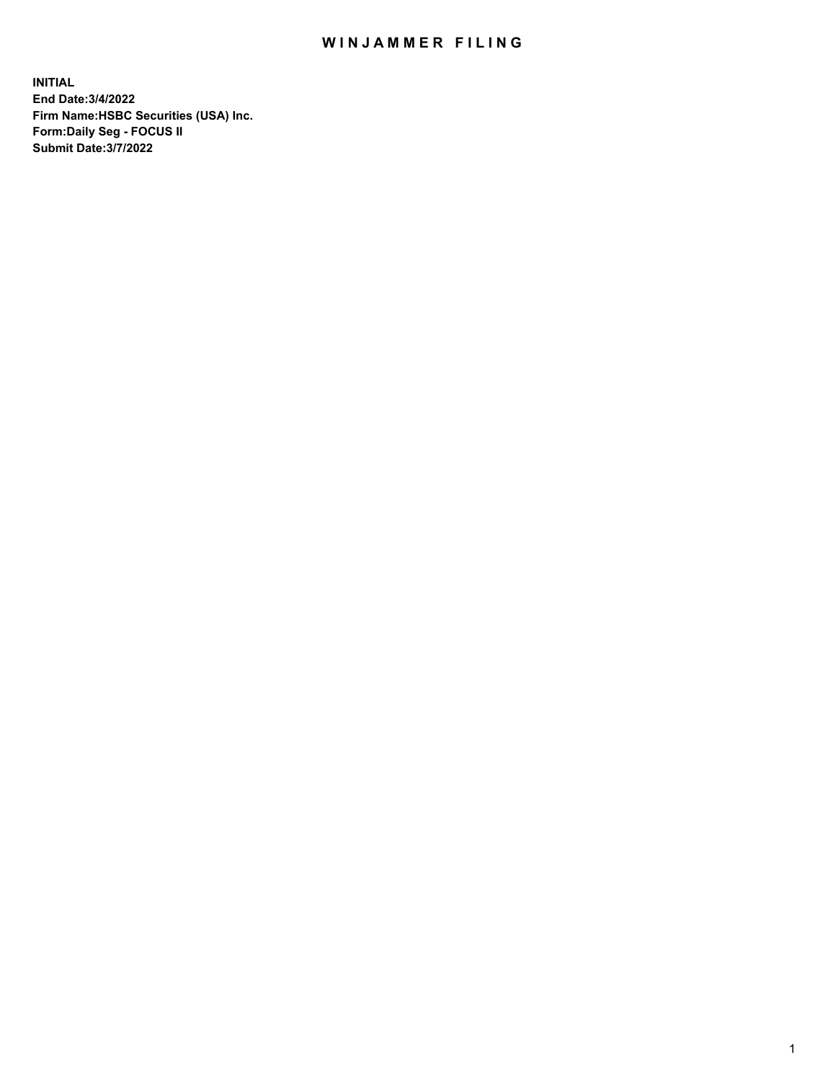## WIN JAMMER FILING

**INITIAL End Date:3/4/2022 Firm Name:HSBC Securities (USA) Inc. Form:Daily Seg - FOCUS II Submit Date:3/7/2022**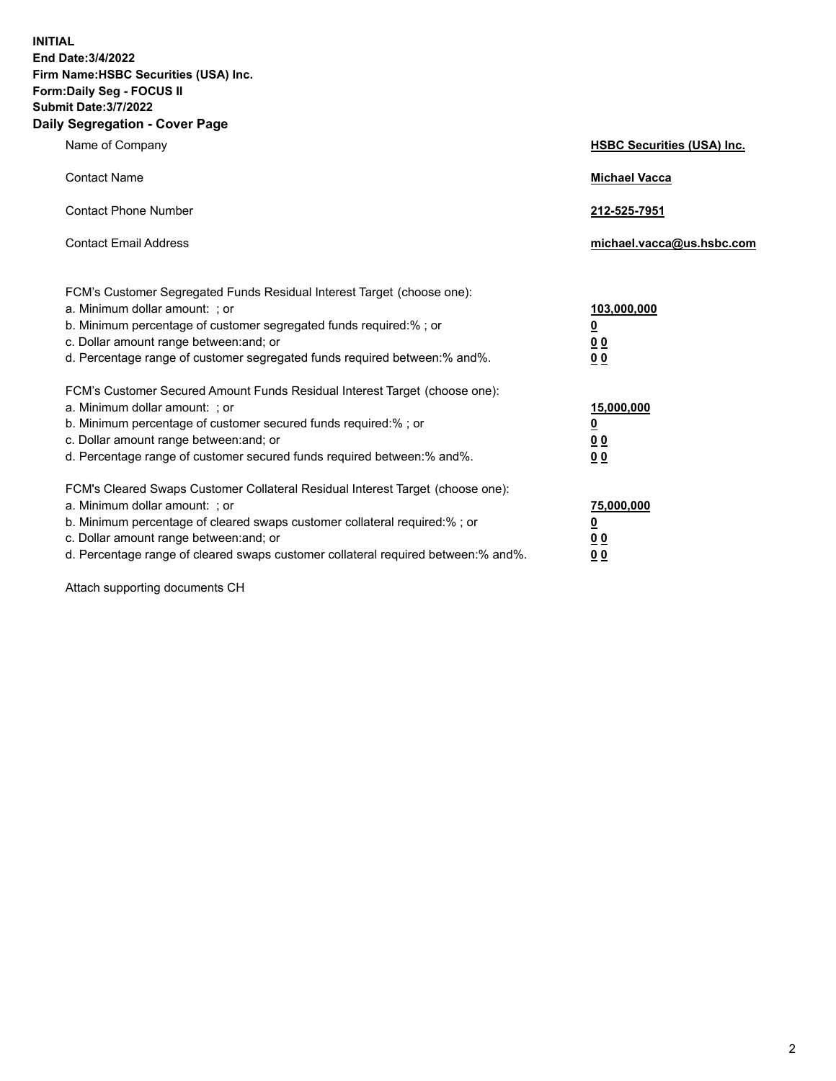**INITIAL End Date:3/4/2022 Firm Name:HSBC Securities (USA) Inc. Form:Daily Seg - FOCUS II Submit Date:3/7/2022 Daily Segregation - Cover Page**

| Name of Company                                                                                                                                                                                                                                                                                                                | <b>HSBC Securities (USA) Inc.</b>                           |
|--------------------------------------------------------------------------------------------------------------------------------------------------------------------------------------------------------------------------------------------------------------------------------------------------------------------------------|-------------------------------------------------------------|
| <b>Contact Name</b>                                                                                                                                                                                                                                                                                                            | <b>Michael Vacca</b>                                        |
| <b>Contact Phone Number</b>                                                                                                                                                                                                                                                                                                    | 212-525-7951                                                |
| <b>Contact Email Address</b>                                                                                                                                                                                                                                                                                                   | michael.vacca@us.hsbc.com                                   |
| FCM's Customer Segregated Funds Residual Interest Target (choose one):<br>a. Minimum dollar amount: ; or<br>b. Minimum percentage of customer segregated funds required:% ; or<br>c. Dollar amount range between: and; or<br>d. Percentage range of customer segregated funds required between:% and%.                         | 103,000,000<br><u>0</u><br>0 <sub>0</sub><br>0 <sub>0</sub> |
| FCM's Customer Secured Amount Funds Residual Interest Target (choose one):<br>a. Minimum dollar amount: ; or<br>b. Minimum percentage of customer secured funds required:%; or<br>c. Dollar amount range between: and; or<br>d. Percentage range of customer secured funds required between:% and%.                            | 15,000,000<br><u>0</u><br>0 <sub>0</sub><br>0 <sub>0</sub>  |
| FCM's Cleared Swaps Customer Collateral Residual Interest Target (choose one):<br>a. Minimum dollar amount: ; or<br>b. Minimum percentage of cleared swaps customer collateral required:% ; or<br>c. Dollar amount range between: and; or<br>d. Percentage range of cleared swaps customer collateral required between:% and%. | 75,000,000<br><u>0</u><br><u>00</u><br>00                   |

Attach supporting documents CH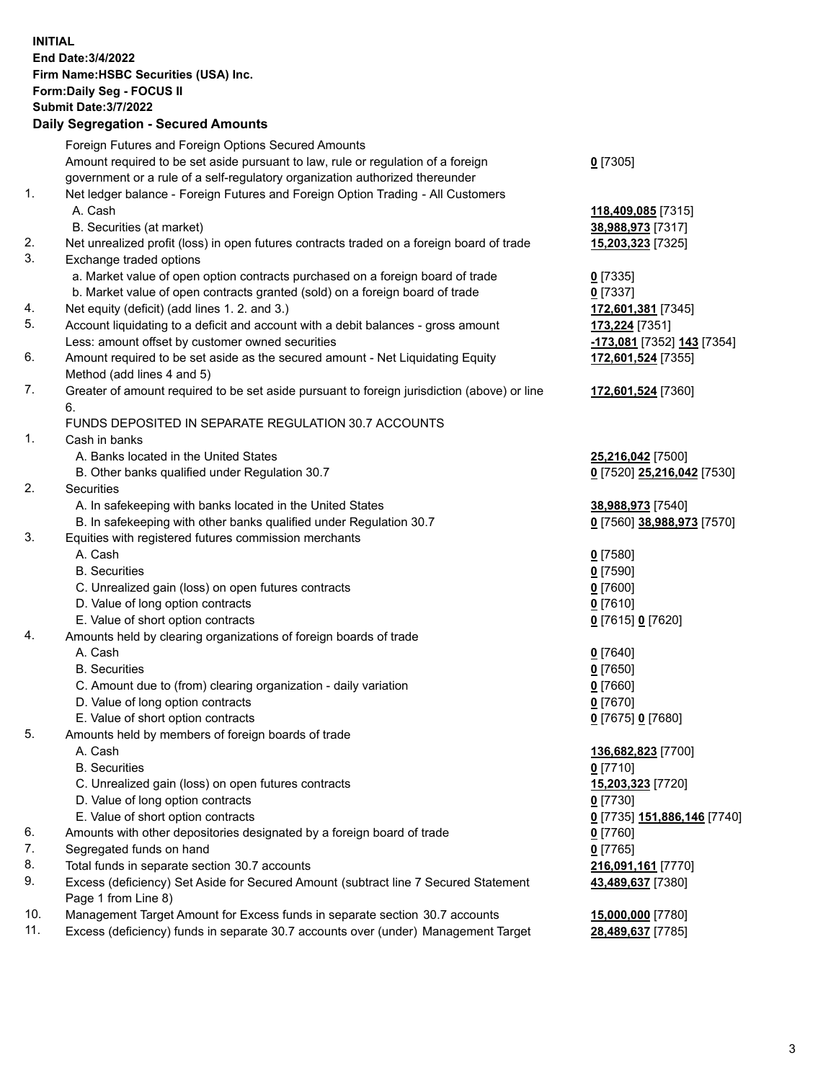**INITIAL End Date:3/4/2022 Firm Name:HSBC Securities (USA) Inc. Form:Daily Seg - FOCUS II Submit Date:3/7/2022 Daily Segregation - Secured Amounts** Foreign Futures and Foreign Options Secured Amounts Amount required to be set aside pursuant to law, rule or regulation of a foreign government or a rule of a self-regulatory organization authorized thereunder **0** [7305] 1. Net ledger balance - Foreign Futures and Foreign Option Trading - All Customers A. Cash **118,409,085** [7315] B. Securities (at market) **38,988,973** [7317] 2. Net unrealized profit (loss) in open futures contracts traded on a foreign board of trade **15,203,323** [7325] 3. Exchange traded options a. Market value of open option contracts purchased on a foreign board of trade **0** [7335] b. Market value of open contracts granted (sold) on a foreign board of trade **0** [7337] 4. Net equity (deficit) (add lines 1. 2. and 3.) **172,601,381** [7345] 5. Account liquidating to a deficit and account with a debit balances - gross amount **173,224** [7351] Less: amount offset by customer owned securities **-173,081** [7352] **143** [7354] 6. Amount required to be set aside as the secured amount - Net Liquidating Equity Method (add lines 4 and 5) **172,601,524** [7355] 7. Greater of amount required to be set aside pursuant to foreign jurisdiction (above) or line 6. **172,601,524** [7360] FUNDS DEPOSITED IN SEPARATE REGULATION 30.7 ACCOUNTS 1. Cash in banks A. Banks located in the United States **25,216,042** [7500] B. Other banks qualified under Regulation 30.7 **0** [7520] **25,216,042** [7530] 2. Securities A. In safekeeping with banks located in the United States **38,988,973** [7540] B. In safekeeping with other banks qualified under Regulation 30.7 **0** [7560] **38,988,973** [7570] 3. Equities with registered futures commission merchants A. Cash **0** [7580] B. Securities **0** [7590] C. Unrealized gain (loss) on open futures contracts **0** [7600] D. Value of long option contracts **0** [7610] E. Value of short option contracts **0** [7615] **0** [7620] 4. Amounts held by clearing organizations of foreign boards of trade A. Cash **0** [7640] B. Securities **0** [7650] C. Amount due to (from) clearing organization - daily variation **0** [7660] D. Value of long option contracts **0** [7670] E. Value of short option contracts **0** [7675] **0** [7680] 5. Amounts held by members of foreign boards of trade A. Cash **136,682,823** [7700] B. Securities **0** [7710] C. Unrealized gain (loss) on open futures contracts **15,203,323** [7720] D. Value of long option contracts **0** [7730] E. Value of short option contracts **0** [7735] **151,886,146** [7740] 6. Amounts with other depositories designated by a foreign board of trade **0** [7760] 7. Segregated funds on hand **0** [7765] 8. Total funds in separate section 30.7 accounts **216,091,161** [7770] 9. Excess (deficiency) Set Aside for Secured Amount (subtract line 7 Secured Statement Page 1 from Line 8) **43,489,637** [7380] 10. Management Target Amount for Excess funds in separate section 30.7 accounts **15,000,000** [7780] 11. Excess (deficiency) funds in separate 30.7 accounts over (under) Management Target **28,489,637** [7785]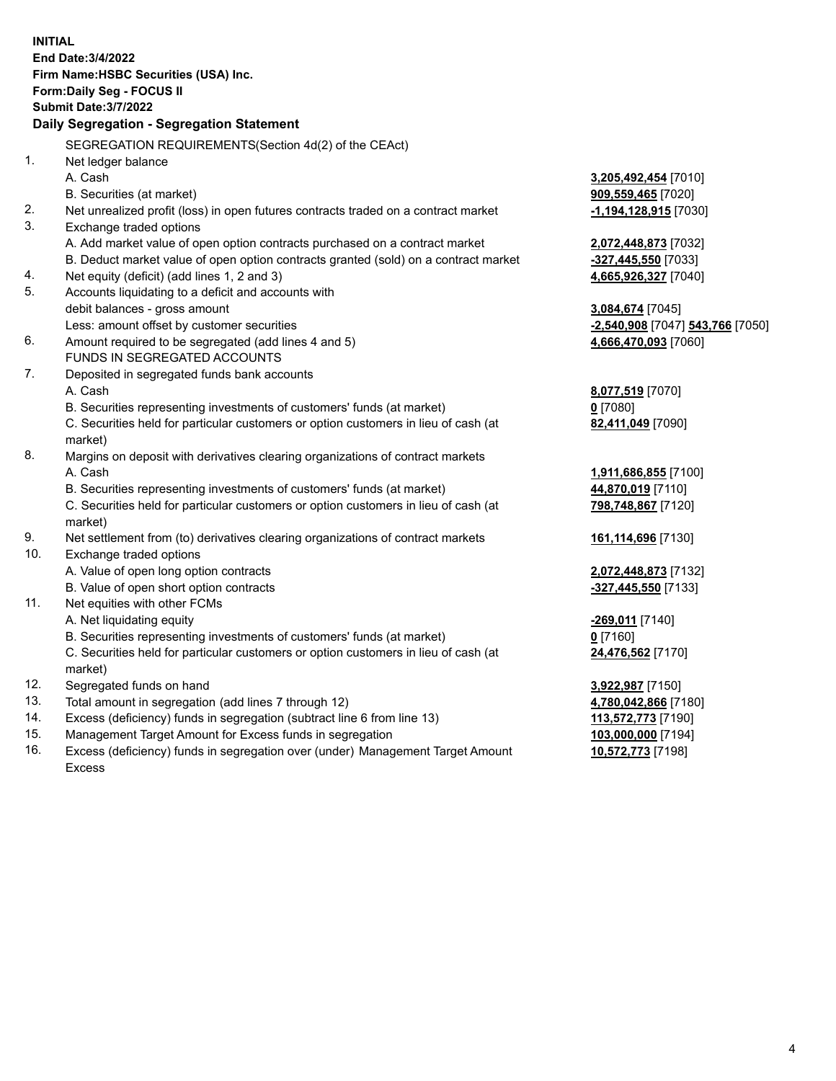|     | <b>INITIAL</b>                                                                                                  |                                  |
|-----|-----------------------------------------------------------------------------------------------------------------|----------------------------------|
|     | End Date: 3/4/2022                                                                                              |                                  |
|     | Firm Name: HSBC Securities (USA) Inc.                                                                           |                                  |
|     | Form: Daily Seg - FOCUS II                                                                                      |                                  |
|     | <b>Submit Date: 3/7/2022</b>                                                                                    |                                  |
|     | Daily Segregation - Segregation Statement                                                                       |                                  |
|     | SEGREGATION REQUIREMENTS(Section 4d(2) of the CEAct)                                                            |                                  |
| 1.  | Net ledger balance                                                                                              |                                  |
|     | A. Cash                                                                                                         | 3,205,492,454 [7010]             |
|     |                                                                                                                 | 909,559,465 [7020]               |
| 2.  | B. Securities (at market)<br>Net unrealized profit (loss) in open futures contracts traded on a contract market | $-1,194,128,915$ [7030]          |
| 3.  |                                                                                                                 |                                  |
|     | Exchange traded options<br>A. Add market value of open option contracts purchased on a contract market          | 2,072,448,873 [7032]             |
|     | B. Deduct market value of open option contracts granted (sold) on a contract market                             | -327,445,550 [7033]              |
| 4.  | Net equity (deficit) (add lines 1, 2 and 3)                                                                     | 4,665,926,327 [7040]             |
| 5.  | Accounts liquidating to a deficit and accounts with                                                             |                                  |
|     | debit balances - gross amount                                                                                   | 3,084,674 [7045]                 |
|     | Less: amount offset by customer securities                                                                      | -2,540,908 [7047] 543,766 [7050] |
| 6.  | Amount required to be segregated (add lines 4 and 5)                                                            | 4,666,470,093 [7060]             |
|     | FUNDS IN SEGREGATED ACCOUNTS                                                                                    |                                  |
| 7.  | Deposited in segregated funds bank accounts                                                                     |                                  |
|     | A. Cash                                                                                                         | 8,077,519 [7070]                 |
|     | B. Securities representing investments of customers' funds (at market)                                          | $0$ [7080]                       |
|     | C. Securities held for particular customers or option customers in lieu of cash (at                             | 82,411,049 [7090]                |
|     | market)                                                                                                         |                                  |
| 8.  | Margins on deposit with derivatives clearing organizations of contract markets                                  |                                  |
|     | A. Cash                                                                                                         | 1,911,686,855 [7100]             |
|     | B. Securities representing investments of customers' funds (at market)                                          | 44,870,019 [7110]                |
|     | C. Securities held for particular customers or option customers in lieu of cash (at                             | 798,748,867 [7120]               |
|     | market)                                                                                                         |                                  |
| 9.  | Net settlement from (to) derivatives clearing organizations of contract markets                                 | 161,114,696 [7130]               |
| 10. | Exchange traded options                                                                                         |                                  |
|     | A. Value of open long option contracts                                                                          | 2,072,448,873 [7132]             |
|     | B. Value of open short option contracts                                                                         | $-327,445,550$ [7133]            |
| 11. | Net equities with other FCMs                                                                                    |                                  |
|     | A. Net liquidating equity                                                                                       | <u>-269,011</u> [7140]           |
|     | B. Securities representing investments of customers' funds (at market)                                          | $0$ [7160]                       |
|     | C. Securities held for particular customers or option customers in lieu of cash (at                             | 24,476,562 [7170]                |
|     | market)                                                                                                         |                                  |
| 12. | Segregated funds on hand                                                                                        | 3,922,987 [7150]                 |
| 13. | Total amount in segregation (add lines 7 through 12)                                                            | 4,780,042,866 [7180]             |
| 14. | Excess (deficiency) funds in segregation (subtract line 6 from line 13)                                         | 113,572,773 [7190]               |
| 15. | Management Target Amount for Excess funds in segregation                                                        | 103,000,000 [7194]               |
| 16. | Excess (deficiency) funds in segregation over (under) Management Target Amount                                  | 10,572,773 [7198]                |

Excess